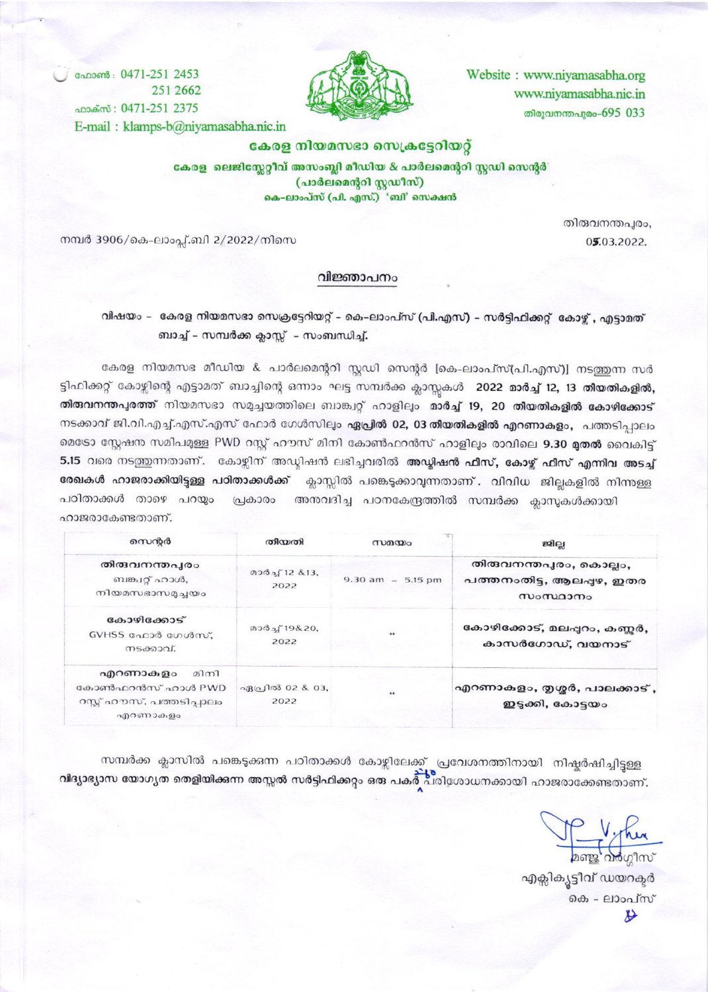Website : www.niyamasabha.org www.niyamasabha.nic.in തിരുവനന്തപുരം-695 033



வேறஸி: 0471-251 2453 251 2662 ஹக்ஸ்: 0471-251 2375 E-mail: klamps-b@niyamasabha.nic.in

#### കേരള നിയമസഭാ സെക്രട്ടേറിയറ്റ്

കേരള ലെജിസ്റ്റേറ്റീവ് അസംബ്ലി മീഡിയ & പാർലമെന്ററി സ്റ്റഡി സെന്റർ (പാർലമെന്ററി സ്റ്റഡീസ്) കെ-ലാംപ്സ് (പി. എസ്.) 'ബി' സെക്ഷൻ

> തിരുവനന്തപുരം, 05.03.2022.

നമ്പർ 3906/കെ-ലാംപ്ല്.ബി 2/2022/നിസെ

#### വിജ്ഞാപനം

# വിഷയം – കേരള നിയമസഭാ സെക്രട്ടേറിയറ്റ് – കെ-ലാംപ്സ് (പി.എസ്) – സർട്ടിഫിക്കറ്റ് കോഴ്ച് , എട്ടാമത് ബാച്ച് - സമ്പർക്ക ക്ലാസ്സ് - സംബന്ധിച്ച്.

കേരള നിയമസഭ മീഡിയ & പാർലമെന്ററി സ്റ്റഡി സെന്റർ [കെ-ലാംപ്സ്(പി.എസ്)] നടത്തന്ന സർ ട്ടിഫിക്കറ്റ് കോഴ്ചിന്റെ എട്ടാമത് ബാച്ചിന്റെ ഒന്നാം ഘട്ട സമ്പർക്ക ക്ലാസ്സകൾ 2022 മാർച്ച് 12, 13 തീയതികളിൽ, തിരുവനന്തപുരത്ത് നിയമസഭാ സമുച്ചയത്തിലെ ബാങ്ക്വറ്റ് ഹാളിലും മാർച്ച് 19, 20 തീയതികളിൽ കോഴിക്കോട് നടക്കാവ് ജി.വി.എച്ച്.എസ്.എസ് ഫോർ ഗേൾസിലും ഏപ്രിൽ 02, 03 തിയതികളിൽ എറണാകളം, പത്തടിപ്പാലം മെടോ സ്റ്റേഷന സമിപമുള്ള PWD റസ്റ്റ് ഹൗസ് മിനി കോൺഫറൻസ് ഹാളിലും രാവിലെ 9.30 **മുതൽ** വൈകിട്ട് 5.15 വരെ നടത്തുന്നതാണ്. കോഴ്ലിന് അഡ്ലിഷൻ ലഭിച്ചവരിൽ **അഡ്ലിഷൻ ഫീസ്, കോഴ്ച് ഫീസ് എന്നിവ അടച്ച്** രേഖകൾ ഹാജരാക്കിയിട്ടുള്ള പഠിതാക്കൾക്ക് ക്ലാസ്സിൽ പങ്കെടുക്കാവുന്നതാണ്. വിവിധ ജില്ലകളിൽ നിന്നുള്ള പ്രകാരം അനവദിച്ച പഠനകേന്ദ്രത്തിൽ സമ്പർക്ക ക്ലാസുകൾക്കായി പഠിതാക്കൾ താഴെ പറയ്യം ഹാജരാകേണ്ടതാണ്.

| സെൻർ                                                                        | തിയതി                                       | സമയം                 | ജില്ല                                                          |
|-----------------------------------------------------------------------------|---------------------------------------------|----------------------|----------------------------------------------------------------|
| തിരുവനന്തപുരം<br>ബങ്ക്വറ്റ് ഹാൾ,<br>നിയമസഭാസമൃച്ചയം                         | $(2)$ $(3)$ $(1)$ $(2)$ $(3)$ $(3)$<br>2022 | $9.30$ am $-5.15$ pm | തിരുവനന്തപുരം, കൊല്ലം,<br>പത്തനംതിട്ട, ആലപ്പഴ, ഇതര<br>സംസ്ഥാനം |
| കോഴിക്കോട്<br>$GVHSS$ മേലാർ ഗേൾസ്.<br>നടക്കാവ്.                             | മാർച്ച9&20,<br>2022                         |                      | കോഴിക്കോട്, മലപ്പറം, കണ്ണർ,<br>കാസർഗോഡ്, വയനാട്                |
| എറണാകുളം<br>മിനി<br>കോൺഫറൻസ് ഹാൾ PWD<br>റസ്റ്റ് ഹൗസ്, പത്തടിപാലം<br>എറണാകളം | എപ്രിൽ 02 & 03,<br>2022                     | $\cdots$             | എറണാകളം, തൃശ്ശർ, പാലക്കാട് ,<br>ഇട്ടക്കി, കോട്ടയം              |

സമ്പർക്ക ക്ലാസിൽ പങ്കെടുക്കുന്ന പഠിതാക്കൾ കോഴ്വിലേക്ക് പ്രവേശനത്തിനായി നിഷ്പർഷിച്ചിട്ടള്ള വിദ്യാഭ്യാസ യോഗ്യത തെളിയിക്കുന്ന അസ്സൽ സർട്ടിഫിക്കറ്റം ഒരു പകർ പരിശോധനക്കായി ഹാജരാക്കേണ്ടതാണ്.

por vinu

എക്സിക്യൂട്ടീവ് ഡയറക്ടർ കെ - ലാംപ്സ് H